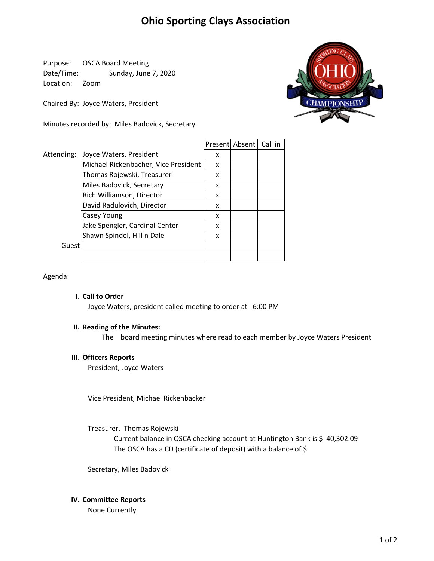# **Ohio Sporting Clays Association**

Purpose: OSCA Board Meeting Date/Time: Sunday, June 7, 2020 Location: Zoom

Chaired By: Joyce Waters, President

Minutes recorded by: Miles Badovick, Secretary



|            |                                      |   | Present Absent | Call in |
|------------|--------------------------------------|---|----------------|---------|
| Attending: | Joyce Waters, President              | x |                |         |
|            | Michael Rickenbacher, Vice President | x |                |         |
|            | Thomas Rojewski, Treasurer           | x |                |         |
|            | Miles Badovick, Secretary            | x |                |         |
|            | Rich Williamson, Director            | x |                |         |
|            | David Radulovich, Director           | x |                |         |
|            | Casey Young                          | x |                |         |
|            | Jake Spengler, Cardinal Center       | x |                |         |
|            | Shawn Spindel, Hill n Dale           | x |                |         |
| Guest      |                                      |   |                |         |
|            |                                      |   |                |         |

Agenda:

### **I. Call to Order**

Joyce Waters, president called meeting to order at 6:00 PM

## **II. Reading of the Minutes:**

The board meeting minutes where read to each member by Joyce Waters President

#### **III. Officers Reports**

President, Joyce Waters

Vice President, Michael Rickenbacker

Treasurer, Thomas Rojewski

The OSCA has a CD (certificate of deposit) with a balance of \$ Current balance in OSCA checking account at Huntington Bank is \$ 40,302.09

Secretary, Miles Badovick

#### **IV. Committee Reports**

None Currently